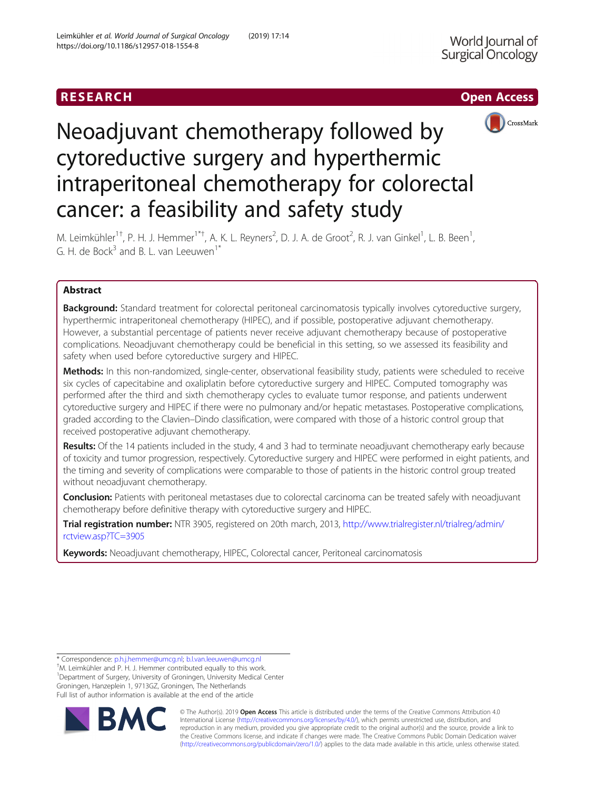



# Neoadjuvant chemotherapy followed by cytoreductive surgery and hyperthermic intraperitoneal chemotherapy for colorectal cancer: a feasibility and safety study

M. Leimkühler<sup>1†</sup>, P. H. J. Hemmer<sup>1\*†</sup>, A. K. L. Reyners<sup>2</sup>, D. J. A. de Groot<sup>2</sup>, R. J. van Ginkel<sup>1</sup>, L. B. Been<sup>1</sup> , G. H. de Bock<sup>3</sup> and B. L. van Leeuwen<sup>1\*</sup>

# Abstract

**Background:** Standard treatment for colorectal peritoneal carcinomatosis typically involves cytoreductive surgery, hyperthermic intraperitoneal chemotherapy (HIPEC), and if possible, postoperative adjuvant chemotherapy. However, a substantial percentage of patients never receive adjuvant chemotherapy because of postoperative complications. Neoadjuvant chemotherapy could be beneficial in this setting, so we assessed its feasibility and safety when used before cytoreductive surgery and HIPEC.

Methods: In this non-randomized, single-center, observational feasibility study, patients were scheduled to receive six cycles of capecitabine and oxaliplatin before cytoreductive surgery and HIPEC. Computed tomography was performed after the third and sixth chemotherapy cycles to evaluate tumor response, and patients underwent cytoreductive surgery and HIPEC if there were no pulmonary and/or hepatic metastases. Postoperative complications, graded according to the Clavien–Dindo classification, were compared with those of a historic control group that received postoperative adjuvant chemotherapy.

Results: Of the 14 patients included in the study, 4 and 3 had to terminate neoadjuvant chemotherapy early because of toxicity and tumor progression, respectively. Cytoreductive surgery and HIPEC were performed in eight patients, and the timing and severity of complications were comparable to those of patients in the historic control group treated without neoadjuvant chemotherapy.

Conclusion: Patients with peritoneal metastases due to colorectal carcinoma can be treated safely with neoadjuvant chemotherapy before definitive therapy with cytoreductive surgery and HIPEC.

Trial registration number: NTR 3905, registered on 20th march, 2013, [http://www.trialregister.nl/trialreg/admin/](http://www.trialregister.nl/trialreg/admin/rctview.asp?TC=3905) [rctview.asp?TC=3905](http://www.trialregister.nl/trialreg/admin/rctview.asp?TC=3905)

Keywords: Neoadjuvant chemotherapy, HIPEC, Colorectal cancer, Peritoneal carcinomatosis

 $^{\dagger}$ M. Leimkühler and P. H. J. Hemmer contributed equally to this work. <sup>1</sup>Department of Surgery, University of Groningen, University Medical Center Groningen, Hanzeplein 1, 9713GZ, Groningen, The Netherlands Full list of author information is available at the end of the article



© The Author(s). 2019 **Open Access** This article is distributed under the terms of the Creative Commons Attribution 4.0 International License [\(http://creativecommons.org/licenses/by/4.0/](http://creativecommons.org/licenses/by/4.0/)), which permits unrestricted use, distribution, and reproduction in any medium, provided you give appropriate credit to the original author(s) and the source, provide a link to the Creative Commons license, and indicate if changes were made. The Creative Commons Public Domain Dedication waiver [\(http://creativecommons.org/publicdomain/zero/1.0/](http://creativecommons.org/publicdomain/zero/1.0/)) applies to the data made available in this article, unless otherwise stated.

<sup>\*</sup> Correspondence: [p.h.j.hemmer@umcg.nl](mailto:p.h.j.hemmer@umcg.nl); [b.l.van.leeuwen@umcg.nl](mailto:b.l.van.leeuwen@umcg.nl) †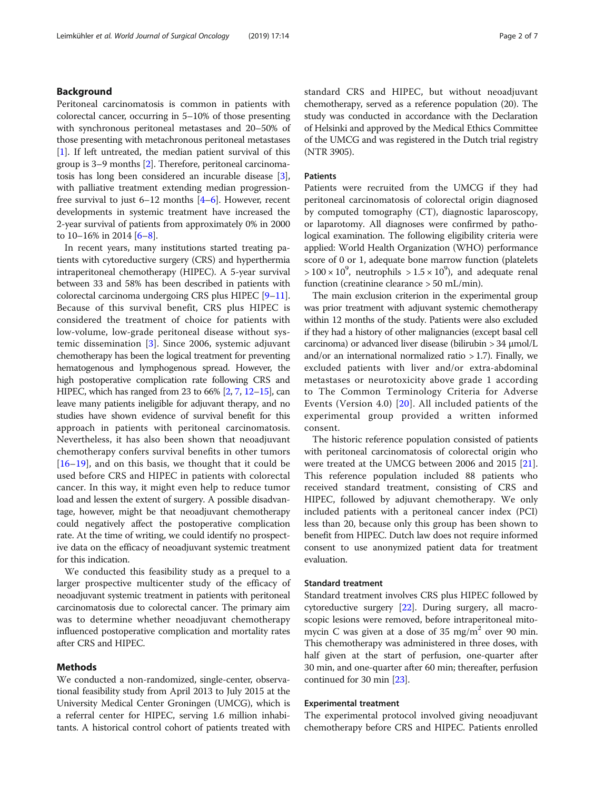# Background

Peritoneal carcinomatosis is common in patients with colorectal cancer, occurring in 5–10% of those presenting with synchronous peritoneal metastases and 20–50% of those presenting with metachronous peritoneal metastases [[1\]](#page-5-0). If left untreated, the median patient survival of this group is 3–9 months [[2\]](#page-5-0). Therefore, peritoneal carcinomatosis has long been considered an incurable disease [[3](#page-5-0)], with palliative treatment extending median progressionfree survival to just 6–12 months [\[4](#page-5-0)–[6\]](#page-5-0). However, recent developments in systemic treatment have increased the 2-year survival of patients from approximately 0% in 2000 to  $10-16\%$  in 2014  $[6-8]$  $[6-8]$  $[6-8]$ .

In recent years, many institutions started treating patients with cytoreductive surgery (CRS) and hyperthermia intraperitoneal chemotherapy (HIPEC). A 5-year survival between 33 and 58% has been described in patients with colorectal carcinoma undergoing CRS plus HIPEC [\[9](#page-5-0)–[11](#page-6-0)]. Because of this survival benefit, CRS plus HIPEC is considered the treatment of choice for patients with low-volume, low-grade peritoneal disease without systemic dissemination [[3\]](#page-5-0). Since 2006, systemic adjuvant chemotherapy has been the logical treatment for preventing hematogenous and lymphogenous spread. However, the high postoperative complication rate following CRS and HIPEC, which has ranged from 23 to 66% [\[2,](#page-5-0) [7,](#page-5-0) [12](#page-6-0)–[15](#page-6-0)], can leave many patients ineligible for adjuvant therapy, and no studies have shown evidence of survival benefit for this approach in patients with peritoneal carcinomatosis. Nevertheless, it has also been shown that neoadjuvant chemotherapy confers survival benefits in other tumors  $[16–19]$  $[16–19]$  $[16–19]$  $[16–19]$ , and on this basis, we thought that it could be used before CRS and HIPEC in patients with colorectal cancer. In this way, it might even help to reduce tumor load and lessen the extent of surgery. A possible disadvantage, however, might be that neoadjuvant chemotherapy could negatively affect the postoperative complication rate. At the time of writing, we could identify no prospective data on the efficacy of neoadjuvant systemic treatment for this indication.

We conducted this feasibility study as a prequel to a larger prospective multicenter study of the efficacy of neoadjuvant systemic treatment in patients with peritoneal carcinomatosis due to colorectal cancer. The primary aim was to determine whether neoadjuvant chemotherapy influenced postoperative complication and mortality rates after CRS and HIPEC.

# Methods

We conducted a non-randomized, single-center, observational feasibility study from April 2013 to July 2015 at the University Medical Center Groningen (UMCG), which is a referral center for HIPEC, serving 1.6 million inhabitants. A historical control cohort of patients treated with standard CRS and HIPEC, but without neoadjuvant chemotherapy, served as a reference population (20). The study was conducted in accordance with the Declaration of Helsinki and approved by the Medical Ethics Committee of the UMCG and was registered in the Dutch trial registry (NTR 3905).

# Patients

Patients were recruited from the UMCG if they had peritoneal carcinomatosis of colorectal origin diagnosed by computed tomography (CT), diagnostic laparoscopy, or laparotomy. All diagnoses were confirmed by pathological examination. The following eligibility criteria were applied: World Health Organization (WHO) performance score of 0 or 1, adequate bone marrow function (platelets  $> 100 \times 10^9$ , neutrophils  $> 1.5 \times 10^9$ ), and adequate renal function (creatinine clearance > 50 mL/min).

The main exclusion criterion in the experimental group was prior treatment with adjuvant systemic chemotherapy within 12 months of the study. Patients were also excluded if they had a history of other malignancies (except basal cell carcinoma) or advanced liver disease (bilirubin > 34 μmol/L and/or an international normalized ratio  $> 1.7$ ). Finally, we excluded patients with liver and/or extra-abdominal metastases or neurotoxicity above grade 1 according to The Common Terminology Criteria for Adverse Events (Version 4.0) [[20\]](#page-6-0). All included patients of the experimental group provided a written informed consent.

The historic reference population consisted of patients with peritoneal carcinomatosis of colorectal origin who were treated at the UMCG between 2006 and 2015 [\[21](#page-6-0)]. This reference population included 88 patients who received standard treatment, consisting of CRS and HIPEC, followed by adjuvant chemotherapy. We only included patients with a peritoneal cancer index (PCI) less than 20, because only this group has been shown to benefit from HIPEC. Dutch law does not require informed consent to use anonymized patient data for treatment evaluation.

# Standard treatment

Standard treatment involves CRS plus HIPEC followed by cytoreductive surgery [\[22](#page-6-0)]. During surgery, all macroscopic lesions were removed, before intraperitoneal mitomycin C was given at a dose of  $35 \text{ mg/m}^2$  over 90 min. This chemotherapy was administered in three doses, with half given at the start of perfusion, one-quarter after 30 min, and one-quarter after 60 min; thereafter, perfusion continued for 30 min [\[23](#page-6-0)].

# Experimental treatment

The experimental protocol involved giving neoadjuvant chemotherapy before CRS and HIPEC. Patients enrolled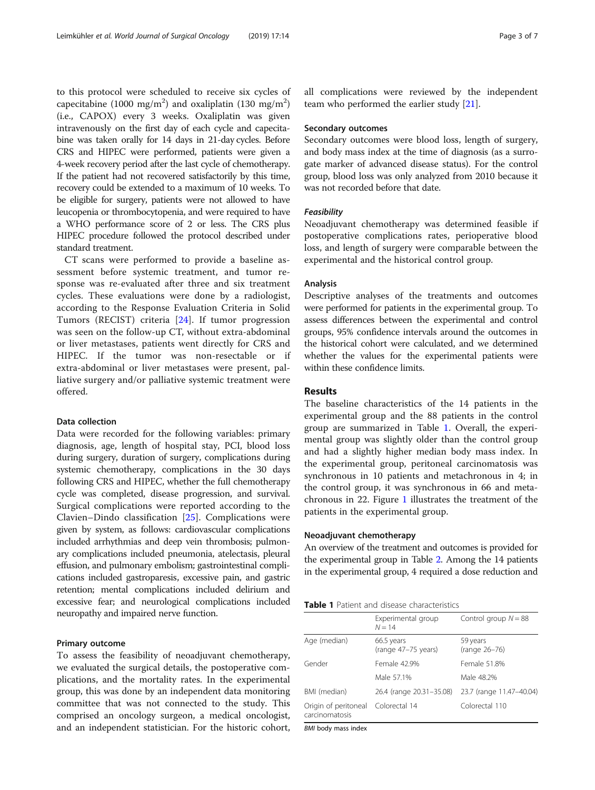to this protocol were scheduled to receive six cycles of capecitabine (1000 mg/m<sup>2</sup>) and oxaliplatin (130 mg/m<sup>2</sup>) (i.e., CAPOX) every 3 weeks. Oxaliplatin was given intravenously on the first day of each cycle and capecitabine was taken orally for 14 days in 21-day cycles. Before CRS and HIPEC were performed, patients were given a 4-week recovery period after the last cycle of chemotherapy. If the patient had not recovered satisfactorily by this time, recovery could be extended to a maximum of 10 weeks. To be eligible for surgery, patients were not allowed to have leucopenia or thrombocytopenia, and were required to have a WHO performance score of 2 or less. The CRS plus HIPEC procedure followed the protocol described under standard treatment.

CT scans were performed to provide a baseline assessment before systemic treatment, and tumor response was re-evaluated after three and six treatment cycles. These evaluations were done by a radiologist, according to the Response Evaluation Criteria in Solid Tumors (RECIST) criteria [[24\]](#page-6-0). If tumor progression was seen on the follow-up CT, without extra-abdominal or liver metastases, patients went directly for CRS and HIPEC. If the tumor was non-resectable or if extra-abdominal or liver metastases were present, palliative surgery and/or palliative systemic treatment were offered.

# Data collection

Data were recorded for the following variables: primary diagnosis, age, length of hospital stay, PCI, blood loss during surgery, duration of surgery, complications during systemic chemotherapy, complications in the 30 days following CRS and HIPEC, whether the full chemotherapy cycle was completed, disease progression, and survival. Surgical complications were reported according to the Clavien–Dindo classification [[25\]](#page-6-0). Complications were given by system, as follows: cardiovascular complications included arrhythmias and deep vein thrombosis; pulmonary complications included pneumonia, atelectasis, pleural effusion, and pulmonary embolism; gastrointestinal complications included gastroparesis, excessive pain, and gastric retention; mental complications included delirium and excessive fear; and neurological complications included neuropathy and impaired nerve function.

#### Primary outcome

To assess the feasibility of neoadjuvant chemotherapy, we evaluated the surgical details, the postoperative complications, and the mortality rates. In the experimental group, this was done by an independent data monitoring committee that was not connected to the study. This comprised an oncology surgeon, a medical oncologist, and an independent statistician. For the historic cohort, all complications were reviewed by the independent team who performed the earlier study [\[21\]](#page-6-0).

## Secondary outcomes

Secondary outcomes were blood loss, length of surgery, and body mass index at the time of diagnosis (as a surrogate marker of advanced disease status). For the control group, blood loss was only analyzed from 2010 because it was not recorded before that date.

# Feasibility

Neoadjuvant chemotherapy was determined feasible if postoperative complications rates, perioperative blood loss, and length of surgery were comparable between the experimental and the historical control group.

# Analysis

Descriptive analyses of the treatments and outcomes were performed for patients in the experimental group. To assess differences between the experimental and control groups, 95% confidence intervals around the outcomes in the historical cohort were calculated, and we determined whether the values for the experimental patients were within these confidence limits.

# Results

The baseline characteristics of the 14 patients in the experimental group and the 88 patients in the control group are summarized in Table 1. Overall, the experimental group was slightly older than the control group and had a slightly higher median body mass index. In the experimental group, peritoneal carcinomatosis was synchronous in 10 patients and metachronous in 4; in the control group, it was synchronous in 66 and metachronous in 22. Figure [1](#page-3-0) illustrates the treatment of the patients in the experimental group.

## Neoadjuvant chemotherapy

An overview of the treatment and outcomes is provided for the experimental group in Table [2](#page-3-0). Among the 14 patients in the experimental group, 4 required a dose reduction and

| <b>Table 1</b> Patient and disease characteristics |  |  |  |
|----------------------------------------------------|--|--|--|
|----------------------------------------------------|--|--|--|

|                                                      | Experimental group<br>$N = 14$    | Control group $N = 88$    |
|------------------------------------------------------|-----------------------------------|---------------------------|
| Age (median)                                         | 66.5 years<br>(range 47-75 years) | 59 years<br>(range 26-76) |
| Gender                                               | Female 42.9%                      | Female 51.8%              |
|                                                      | Male 57.1%                        | Male 48.2%                |
| BMI (median)                                         | 26.4 (range 20.31-35.08)          | 23.7 (range 11.47-40.04)  |
| Origin of peritoneal Colorectal 14<br>carcinomatosis |                                   | Colorectal 110            |
|                                                      |                                   |                           |

BMI body mass index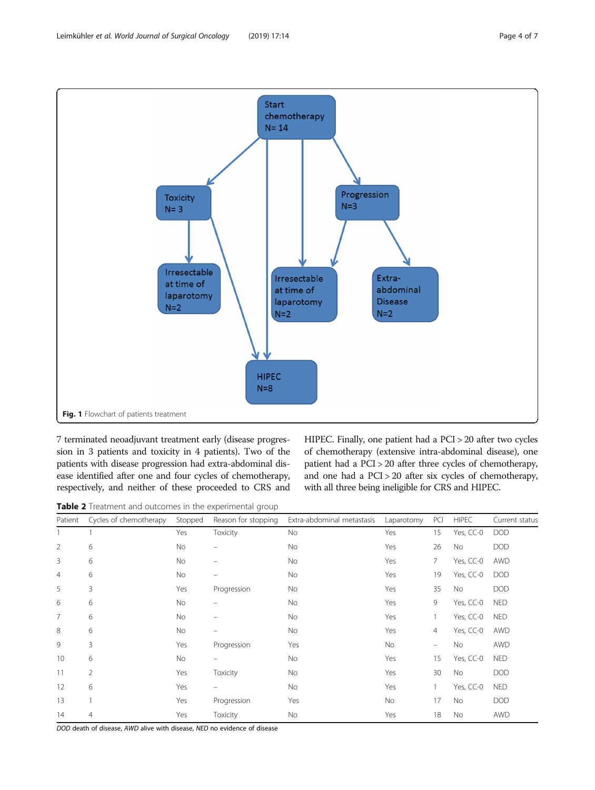<span id="page-3-0"></span>

7 terminated neoadjuvant treatment early (disease progression in 3 patients and toxicity in 4 patients). Two of the patients with disease progression had extra-abdominal disease identified after one and four cycles of chemotherapy, respectively, and neither of these proceeded to CRS and HIPEC. Finally, one patient had a PCI > 20 after two cycles of chemotherapy (extensive intra-abdominal disease), one patient had a PCI > 20 after three cycles of chemotherapy, and one had a PCI > 20 after six cycles of chemotherapy, with all three being ineligible for CRS and HIPEC.

Table 2 Treatment and outcomes in the experimental group

| Patient        | Cycles of chemotherapy | Stopped | Reason for stopping | Extra-abdominal metastasis | Laparotomy | PCI                      | <b>HIPEC</b> | Current status |
|----------------|------------------------|---------|---------------------|----------------------------|------------|--------------------------|--------------|----------------|
|                |                        | Yes     | <b>Toxicity</b>     | No                         | Yes        | 15                       | Yes, CC-0    | <b>DOD</b>     |
| $\overline{2}$ | 6                      | No      |                     | No                         | Yes        | 26                       | No           | <b>DOD</b>     |
| 3              | 6                      | No      |                     | No                         | Yes        | 7                        | Yes, CC-0    | AWD            |
| $\overline{4}$ | 6                      | No      |                     | No                         | Yes        | 19                       | Yes, CC-0    | <b>DOD</b>     |
| 5              | 3                      | Yes     | Progression         | No                         | Yes        | 35                       | No           | <b>DOD</b>     |
| 6              | 6                      | No      |                     | No                         | Yes        | 9                        | Yes, CC-0    | <b>NED</b>     |
| 7              | 6                      | No      |                     | No                         | Yes        |                          | Yes, CC-0    | <b>NED</b>     |
| 8              | 6                      | No      |                     | No                         | Yes        | $\overline{4}$           | Yes, CC-0    | AWD            |
| 9              | 3                      | Yes     | Progression         | Yes                        | <b>No</b>  | $\overline{\phantom{m}}$ | No           | AWD            |
| 10             | 6                      | No      |                     | No                         | Yes        | 15                       | Yes, CC-0    | <b>NED</b>     |
| 11             | $\overline{2}$         | Yes     | <b>Toxicity</b>     | No                         | Yes        | 30                       | No           | <b>DOD</b>     |
| 12             | 6                      | Yes     |                     | No                         | Yes        |                          | Yes, CC-0    | <b>NED</b>     |
| 13             | 1                      | Yes     | Progression         | Yes                        | <b>No</b>  | 17                       | No           | <b>DOD</b>     |
| 14             | 4                      | Yes     | <b>Toxicity</b>     | No                         | Yes        | 18                       | No           | AWD            |

DOD death of disease, AWD alive with disease, NED no evidence of disease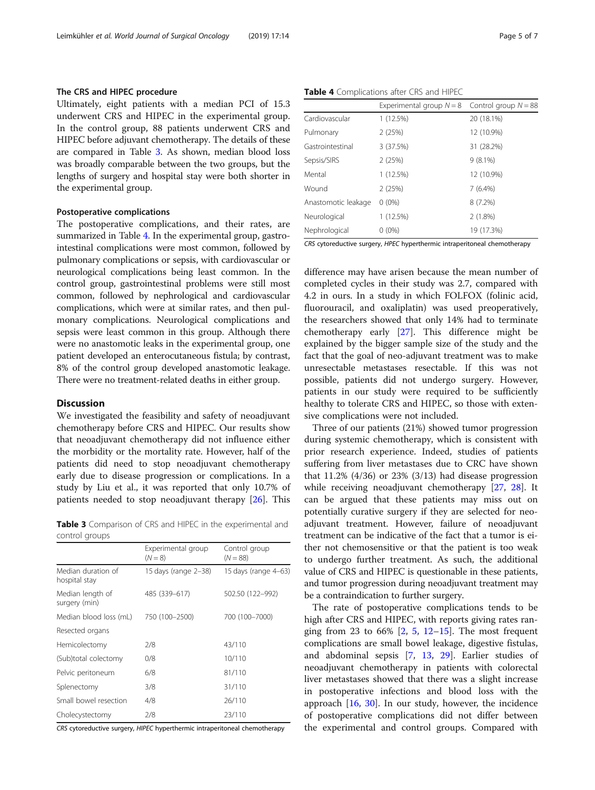# The CRS and HIPEC procedure

Ultimately, eight patients with a median PCI of 15.3 underwent CRS and HIPEC in the experimental group. In the control group, 88 patients underwent CRS and HIPEC before adjuvant chemotherapy. The details of these are compared in Table 3. As shown, median blood loss was broadly comparable between the two groups, but the lengths of surgery and hospital stay were both shorter in the experimental group.

# Postoperative complications

The postoperative complications, and their rates, are summarized in Table 4. In the experimental group, gastrointestinal complications were most common, followed by pulmonary complications or sepsis, with cardiovascular or neurological complications being least common. In the control group, gastrointestinal problems were still most common, followed by nephrological and cardiovascular complications, which were at similar rates, and then pulmonary complications. Neurological complications and sepsis were least common in this group. Although there were no anastomotic leaks in the experimental group, one patient developed an enterocutaneous fistula; by contrast, 8% of the control group developed anastomotic leakage. There were no treatment-related deaths in either group.

# **Discussion**

We investigated the feasibility and safety of neoadjuvant chemotherapy before CRS and HIPEC. Our results show that neoadjuvant chemotherapy did not influence either the morbidity or the mortality rate. However, half of the patients did need to stop neoadjuvant chemotherapy early due to disease progression or complications. In a study by Liu et al., it was reported that only 10.7% of patients needed to stop neoadjuvant therapy [\[26\]](#page-6-0). This

Table 3 Comparison of CRS and HIPEC in the experimental and control groups

|                                     | Experimental group<br>$(N = 8)$ | Control group<br>$(N = 88)$ |
|-------------------------------------|---------------------------------|-----------------------------|
| Median duration of<br>hospital stay | 15 days (range $2-38$ )         | 15 days (range 4-63)        |
| Median length of<br>surgery (min)   | 485 (339-617)                   | 502.50 (122-992)            |
| Median blood loss (mL)              | 750 (100-2500)                  | 700 (100-7000)              |
| Resected organs                     |                                 |                             |
| Hemicolectomy                       | 2/8                             | 43/110                      |
| (Sub)total colectomy                | 0/8                             | 10/110                      |
| Pelvic peritoneum                   | 6/8                             | 81/110                      |
| Splenectomy                         | 3/8                             | 31/110                      |
| Small bowel resection               | 4/8                             | 26/110                      |
| Cholecystectomy                     | 2/8                             | 23/110                      |

CRS cytoreductive surgery, HIPEC hyperthermic intraperitoneal chemotherapy

Table 4 Complications after CRS and HIPEC

|                     | Experimental group $N = 8$ Control group $N = 88$ |            |
|---------------------|---------------------------------------------------|------------|
| Cardiovascular      | 1 (12.5%)                                         | 20 (18.1%) |
| Pulmonary           | 2(25%)                                            | 12 (10.9%) |
| Gastrointestinal    | 3 (37.5%)                                         | 31 (28.2%) |
| Sepsis/SIRS         | 2(25%)                                            | $9(8.1\%)$ |
| Mental              | 1 (12.5%)                                         | 12 (10.9%) |
| Wound               | 2(25%)                                            | $7(6.4\%)$ |
| Anastomotic leakage | $0(0\%)$                                          | $8(7.2\%)$ |
| Neurological        | 1 (12.5%)                                         | $2(1.8\%)$ |
| Nephrological       | $0(0\%)$                                          | 19 (17.3%) |

CRS cytoreductive surgery, HPEC hyperthermic intraperitoneal chemotherapy

difference may have arisen because the mean number of completed cycles in their study was 2.7, compared with 4.2 in ours. In a study in which FOLFOX (folinic acid, fluorouracil, and oxaliplatin) was used preoperatively, the researchers showed that only 14% had to terminate chemotherapy early [[27\]](#page-6-0). This difference might be explained by the bigger sample size of the study and the fact that the goal of neo-adjuvant treatment was to make unresectable metastases resectable. If this was not possible, patients did not undergo surgery. However, patients in our study were required to be sufficiently healthy to tolerate CRS and HIPEC, so those with extensive complications were not included.

Three of our patients (21%) showed tumor progression during systemic chemotherapy, which is consistent with prior research experience. Indeed, studies of patients suffering from liver metastases due to CRC have shown that  $11.2\%$  (4/36) or 23% (3/13) had disease progression while receiving neoadjuvant chemotherapy [[27,](#page-6-0) [28\]](#page-6-0). It can be argued that these patients may miss out on potentially curative surgery if they are selected for neoadjuvant treatment. However, failure of neoadjuvant treatment can be indicative of the fact that a tumor is either not chemosensitive or that the patient is too weak to undergo further treatment. As such, the additional value of CRS and HIPEC is questionable in these patients, and tumor progression during neoadjuvant treatment may be a contraindication to further surgery.

The rate of postoperative complications tends to be high after CRS and HIPEC, with reports giving rates ranging from 23 to 66%  $[2, 5, 12-15]$  $[2, 5, 12-15]$  $[2, 5, 12-15]$  $[2, 5, 12-15]$  $[2, 5, 12-15]$  $[2, 5, 12-15]$  $[2, 5, 12-15]$ . The most frequent complications are small bowel leakage, digestive fistulas, and abdominal sepsis [[7,](#page-5-0) [13](#page-6-0), [29\]](#page-6-0). Earlier studies of neoadjuvant chemotherapy in patients with colorectal liver metastases showed that there was a slight increase in postoperative infections and blood loss with the approach  $[16, 30]$  $[16, 30]$  $[16, 30]$  $[16, 30]$  $[16, 30]$ . In our study, however, the incidence of postoperative complications did not differ between the experimental and control groups. Compared with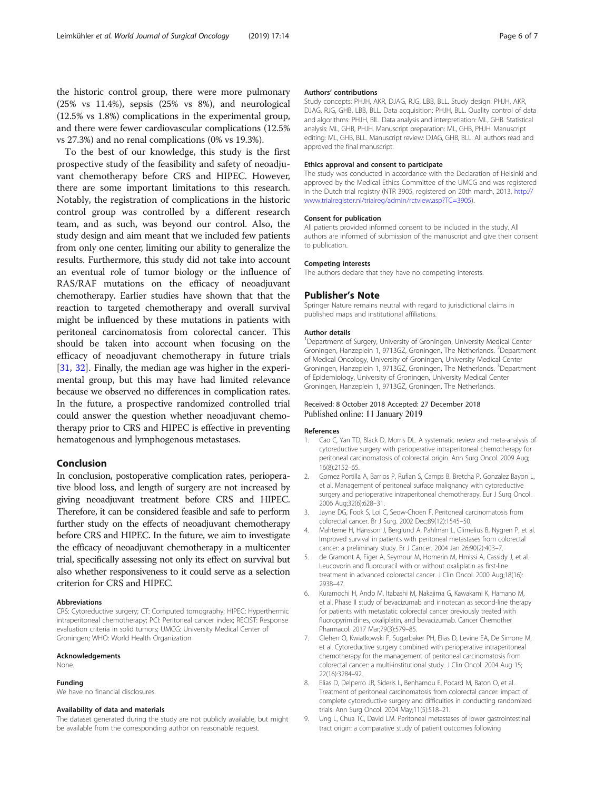<span id="page-5-0"></span>To the best of our knowledge, this study is the first prospective study of the feasibility and safety of neoadjuvant chemotherapy before CRS and HIPEC. However, there are some important limitations to this research. Notably, the registration of complications in the historic control group was controlled by a different research team, and as such, was beyond our control. Also, the study design and aim meant that we included few patients from only one center, limiting our ability to generalize the results. Furthermore, this study did not take into account an eventual role of tumor biology or the influence of RAS/RAF mutations on the efficacy of neoadjuvant chemotherapy. Earlier studies have shown that that the reaction to targeted chemotherapy and overall survival might be influenced by these mutations in patients with peritoneal carcinomatosis from colorectal cancer. This should be taken into account when focusing on the efficacy of neoadjuvant chemotherapy in future trials [[31,](#page-6-0) [32](#page-6-0)]. Finally, the median age was higher in the experimental group, but this may have had limited relevance because we observed no differences in complication rates. In the future, a prospective randomized controlled trial could answer the question whether neoadjuvant chemotherapy prior to CRS and HIPEC is effective in preventing hematogenous and lymphogenous metastases.

# Conclusion

In conclusion, postoperative complication rates, perioperative blood loss, and length of surgery are not increased by giving neoadjuvant treatment before CRS and HIPEC. Therefore, it can be considered feasible and safe to perform further study on the effects of neoadjuvant chemotherapy before CRS and HIPEC. In the future, we aim to investigate the efficacy of neoadjuvant chemotherapy in a multicenter trial, specifically assessing not only its effect on survival but also whether responsiveness to it could serve as a selection criterion for CRS and HIPEC.

#### Abbreviations

CRS: Cytoreductive surgery; CT: Computed tomography; HIPEC: Hyperthermic intraperitoneal chemotherapy; PCI: Peritoneal cancer index; RECIST: Response evaluation criteria in solid tumors; UMCG: University Medical Center of Groningen; WHO: World Health Organization

#### Acknowledgements

None.

#### Funding

We have no financial disclosures.

#### Availability of data and materials

The dataset generated during the study are not publicly available, but might be available from the corresponding author on reasonable request.

Study concepts: PHJH, AKR, DJAG, RJG, LBB, BLL. Study design: PHJH, AKR, DJAG, RJG, GHB, LBB, BLL. Data acquisition: PHJH, BLL. Quality control of data and algorithms: PHJH, BlL. Data analysis and interpretiation: ML, GHB. Statistical analysis: ML, GHB, PHJH. Manuscript preparation: ML, GHB, PHJH. Manuscript editing: ML, GHB, BLL. Manuscript review: DJAG, GHB, BLL. All authors read and approved the final manuscript.

#### Ethics approval and consent to participate

The study was conducted in accordance with the Declaration of Helsinki and approved by the Medical Ethics Committee of the UMCG and was registered in the Dutch trial registry (NTR 3905, registered on 20th march, 2013, [http://](http://www.trialregister.nl/trialreg/admin/rctview.asp?TC=3905) [www.trialregister.nl/trialreg/admin/rctview.asp?TC=3905](http://www.trialregister.nl/trialreg/admin/rctview.asp?TC=3905)).

#### Consent for publication

All patients provided informed consent to be included in the study. All authors are informed of submission of the manuscript and give their consent to publication.

#### Competing interests

The authors declare that they have no competing interests.

#### Publisher's Note

Springer Nature remains neutral with regard to jurisdictional claims in published maps and institutional affiliations.

#### Author details

<sup>1</sup>Department of Surgery, University of Groningen, University Medical Center Groningen, Hanzeplein 1, 9713GZ, Groningen, The Netherlands. <sup>2</sup>Department of Medical Oncology, University of Groningen, University Medical Center Groningen, Hanzeplein 1, 9713GZ, Groningen, The Netherlands. <sup>3</sup>Department of Epidemiology, University of Groningen, University Medical Center Groningen, Hanzeplein 1, 9713GZ, Groningen, The Netherlands.

#### Received: 8 October 2018 Accepted: 27 December 2018 Published online: 11 January 2019

#### References

- 1. Cao C, Yan TD, Black D, Morris DL. A systematic review and meta-analysis of cytoreductive surgery with perioperative intraperitoneal chemotherapy for peritoneal carcinomatosis of colorectal origin. Ann Surg Oncol. 2009 Aug; 16(8):2152–65.
- 2. Gomez Portilla A, Barrios P, Rufian S, Camps B, Bretcha P, Gonzalez Bayon L, et al. Management of peritoneal surface malignancy with cytoreductive surgery and perioperative intraperitoneal chemotherapy. Eur J Surg Oncol. 2006 Aug;32(6):628–31.
- 3. Jayne DG, Fook S, Loi C, Seow-Choen F. Peritoneal carcinomatosis from colorectal cancer. Br J Surg. 2002 Dec;89(12):1545–50.
- 4. Mahteme H, Hansson J, Berglund A, Pahlman L, Glimelius B, Nygren P, et al. Improved survival in patients with peritoneal metastases from colorectal cancer: a preliminary study. Br J Cancer. 2004 Jan 26;90(2):403–7.
- 5. de Gramont A, Figer A, Seymour M, Homerin M, Hmissi A, Cassidy J, et al. Leucovorin and fluorouracil with or without oxaliplatin as first-line treatment in advanced colorectal cancer. J Clin Oncol. 2000 Aug;18(16): 2938–47.
- 6. Kuramochi H, Ando M, Itabashi M, Nakajima G, Kawakami K, Hamano M, et al. Phase II study of bevacizumab and irinotecan as second-line therapy for patients with metastatic colorectal cancer previously treated with fluoropyrimidines, oxaliplatin, and bevacizumab. Cancer Chemother Pharmacol. 2017 Mar;79(3):579–85.
- 7. Glehen O, Kwiatkowski F, Sugarbaker PH, Elias D, Levine EA, De Simone M, et al. Cytoreductive surgery combined with perioperative intraperitoneal chemotherapy for the management of peritoneal carcinomatosis from colorectal cancer: a multi-institutional study. J Clin Oncol. 2004 Aug 15; 22(16):3284–92.
- 8. Elias D, Delperro JR, Sideris L, Benhamou E, Pocard M, Baton O, et al. Treatment of peritoneal carcinomatosis from colorectal cancer: impact of complete cytoreductive surgery and difficulties in conducting randomized trials. Ann Surg Oncol. 2004 May;11(5):518–21.
- 9. Ung L, Chua TC, David LM. Peritoneal metastases of lower gastrointestinal tract origin: a comparative study of patient outcomes following